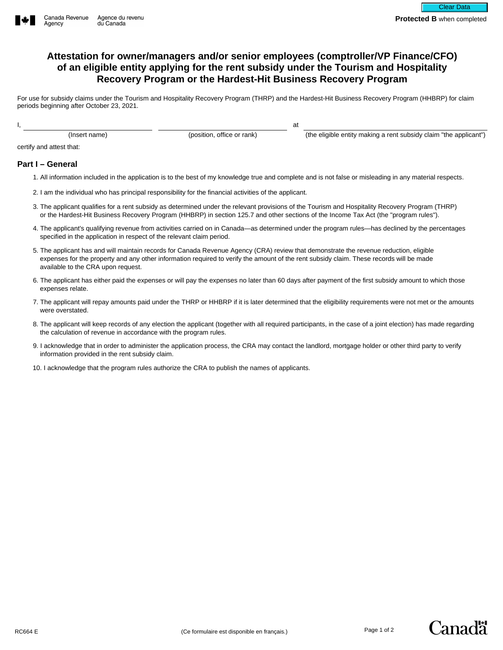

## **Attestation for owner/managers and/or senior employees (comptroller/VP Finance/CFO) of an eligible entity applying for the rent subsidy under the Tourism and Hospitality Recovery Program or the Hardest-Hit Business Recovery Program**

For use for subsidy claims under the Tourism and Hospitality Recovery Program (THRP) and the Hardest-Hit Business Recovery Program (HHBRP) for claim periods beginning after October 23, 2021.

at

I,

(Insert name) (position, office or rank)

(the eligible entity making a rent subsidy claim "the applicant")

certify and attest that:

## **Part I – General**

- 1. All information included in the application is to the best of my knowledge true and complete and is not false or misleading in any material respects.
- 2. I am the individual who has principal responsibility for the financial activities of the applicant.
- 3. The applicant qualifies for a rent subsidy as determined under the relevant provisions of the Tourism and Hospitality Recovery Program (THRP) or the Hardest-Hit Business Recovery Program (HHBRP) in section 125.7 and other sections of the Income Tax Act (the "program rules").
- 4. The applicant's qualifying revenue from activities carried on in Canada—as determined under the program rules—has declined by the percentages specified in the application in respect of the relevant claim period.
- 5. The applicant has and will maintain records for Canada Revenue Agency (CRA) review that demonstrate the revenue reduction, eligible expenses for the property and any other information required to verify the amount of the rent subsidy claim. These records will be made available to the CRA upon request.
- 6. The applicant has either paid the expenses or will pay the expenses no later than 60 days after payment of the first subsidy amount to which those expenses relate.
- 7. The applicant will repay amounts paid under the THRP or HHBRP if it is later determined that the eligibility requirements were not met or the amounts were overstated.
- 8. The applicant will keep records of any election the applicant (together with all required participants, in the case of a joint election) has made regarding the calculation of revenue in accordance with the program rules.
- 9. I acknowledge that in order to administer the application process, the CRA may contact the landlord, mortgage holder or other third party to verify information provided in the rent subsidy claim.
- 10. I acknowledge that the program rules authorize the CRA to publish the names of applicants.

Canadä